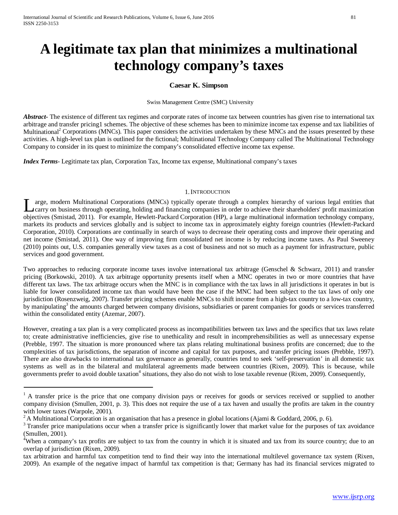# **A legitimate tax plan that minimizes a multinational technology company's taxes**

# **Caesar K. Simpson**

Swiss Management Centre (SMC) University

*Abstract* The existence of different tax regimes and corporate rates of income tax between countries has given rise to international tax arbitrage and transfer pricing1 schemes. The objective of these schemes has been to minimize income tax expense and tax liabilities of Multinational<sup>2</sup> Corporations (MNCs). This paper considers the activities undertaken by these MNCs and the issues presented by these activities. A high-level tax plan is outlined for the fictional; Multinational Technology Company called The Multinational Technology Company to consider in its quest to minimize the company's consolidated effective income tax expense.

*Index Terms*- Legitimate tax plan, Corporation Tax, Income tax expense, Multinational company's taxes

#### 1.INTRODUCTION

arge, modern Multinational Corporations (MNCs) typically operate through a complex hierarchy of various legal entities that carry on business through operating, holding and financing companies in order to achieve their shareholders' profit maximization Large, modern Multinational Corporations (MNCs) typically operate through a complex hierarchy of various legal entities that carry on business through operating, holding and financing companies in order to achieve their sh markets its products and services globally and is subject to income tax in approximately eighty foreign countries (Hewlett-Packard Corporation, 2010). Corporations are continually in search of ways to decrease their operating costs and improve their operating and net income (Smistad, 2011). One way of improving firm consolidated net income is by reducing income taxes. As Paul Sweeney (2010) points out, U.S. companies generally view taxes as a cost of business and not so much as a payment for infrastructure, public services and good government.

Two approaches to reducing corporate income taxes involve international tax arbitrage (Genschel & Schwarz, 2011) and transfer pricing (Borkowski, 2010). A tax arbitrage opportunity presents itself when a MNC operates in two or more countries that have different tax laws. The tax arbitrage occurs when the MNC is in compliance with the tax laws in all jurisdictions it operates in but is liable for lower consolidated income tax than would have been the case if the MNC had been subject to the tax laws of only one jurisdiction (Rosenzweig, 2007). Transfer pricing schemes enable MNCs to shift income from a high-tax country to a low-tax country, by manipulating<sup>3</sup> the amounts charged between company divisions, subsidiaries or parent companies for goods or services transferred within the consolidated entity (Azemar, 2007).

However, creating a tax plan is a very complicated process as incompatibilities between tax laws and the specifics that tax laws relate to; create administrative inefficiencies, give rise to unethicality and result in incomprehensibilities as well as unnecessary expense (Prebble, 1997. The situation is more pronounced where tax plans relating multinational business profits are concerned; due to the complexities of tax jurisdictions, the separation of income and capital for tax purposes, and transfer pricing issues (Prebble, 1997). There are also drawbacks to international tax governance as generally, countries tend to seek 'self-preservation' in all domestic tax systems as well as in the bilateral and multilateral agreements made between countries (Rixen, 2009). This is because, while governments prefer to avoid double taxation<sup>4</sup> situations, they also do not wish to lose taxable revenue (Rixen, 2009). Consequently,

<sup>&</sup>lt;sup>1</sup> A transfer price is the price that one company division pays or receives for goods or services received or supplied to another company division (Smullen, 2001, p. 3). This does not require the use of a tax haven and usually the profits are taken in the country with lower taxes (Warpole, 2001).

<sup>&</sup>lt;sup>2</sup> A Multinational Corporation is an organisation that has a presence in global locations (Ajami & Goddard, 2006, p. 6).

<sup>&</sup>lt;sup>3</sup> Transfer price manipulations occur when a transfer price is significantly lower that market value for the purposes of tax avoidance (Smullen, 2001).

<sup>&</sup>lt;sup>4</sup>When a company's tax profits are subject to tax from the country in which it is situated and tax from its source country; due to an overlap of jurisdiction (Rixen, 2009).

tax arbitration and harmful tax competition tend to find their way into the international multilevel governance tax system (Rixen, 2009). An example of the negative impact of harmful tax competition is that; Germany has had its financial services migrated to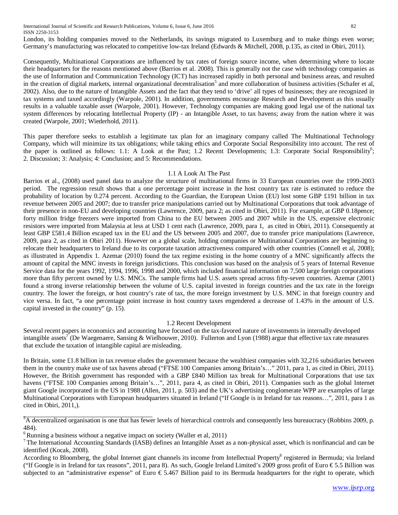International Journal of Scientific and Research Publications, Volume 6, Issue 6, June 2016 82 ISSN 2250-3153

London, its holding companies moved to the Netherlands, its savings migrated to Luxemburg and to make things even worse; Germany's manufacturing was relocated to competitive low-tax Ireland (Edwards & Mitchell, 2008, p.135, as cited in Obiri, 2011).

Consequently, Multinational Corporations are influenced by tax rates of foreign source income, when determining where to locate their headquarters for the reasons mentioned above (Barrios et al. 2008). This is generally not the case with technology companies as the use of Information and Communication Technology (ICT) has increased rapidly in both personal and business areas, and resulted in the creation of digital markets, internal organizational decentralisation<sup>5</sup> and more collaboration of business activities (Schafer et al, 2002). Also, due to the nature of Intangible Assets and the fact that they tend to 'drive' all types of businesses; they are recognized in tax systems and taxed accordingly (Warpole, 2001). In addition, governments encourage Research and Development as this usually results in a valuable taxable asset (Warpole, 2001). However, Technology companies are making good legal use of the national tax system differences by relocating Intellectual Property (IP) - an Intangible Asset, to tax havens; away from the nation where it was created (Warpole, 2001; Wiederhold, 2011).

This paper therefore seeks to establish a legitimate tax plan for an imaginary company called The Multinational Technology Company, which will minimize its tax obligations; while taking ethics and Corporate Social Responsibility into account. The rest of the paper is outlined as follows: 1.1: A Look at the Past; 1.2 Recent Developments; 1.3: Corporate Social Responsibility<sup>6</sup>; 2. Discussion; 3: Analysis; 4: Conclusion; and 5: Recommendations.

## 1.1 A Look At The Past

Barrios et al., (2008) used panel data to analyze the structure of multinational firms in 33 European countries over the 1999-2003 period. The regression result shows that a one percentage point increase in the host country tax rate is estimated to reduce the probability of location by 0.274 percent. According to the Guardian, the European Union (EU) lost some GBP £191 billion in tax revenue between 2005 and 2007; due to transfer price manipulations carried out by Multinational Corporations that took advantage of their presence in non-EU and developing countries (Lawrence, 2009, para 2; as cited in Obiri, 2011). For example, at GBP 0.18pence; forty million fridge freezers were imported from China to the EU between 2005 and 2007 while in the US, expensive electronic resistors were imported from Malaysia at less at USD 1 cent each (Lawrence, 2009, para 1, as cited in Obiri, 2011). Consequently at least GBP £581.4 Billion escaped tax in the EU and the US between 2005 and 2007, due to transfer price manipulations (Lawrence, 2009, para 2, as cited in Obiri 2011). However on a global scale, holding companies or Multinational Corporations are beginning to relocate their headquarters to Ireland due to its corporate taxation attractiveness compared with other countries (Connell et al, 2008); as illustrated in Appendix 1. Azemar (2010) found the tax regime existing in the home country of a MNC significantly affects the amount of capital the MNC invests in foreign jurisdictions. This conclusion was based on the analysis of 5 years of Internal Revenue Service data for the years 1992, 1994, 1996, 1998 and 2000, which included financial information on 7,500 large foreign corporations more than fifty percent owned by U.S. MNCs. The sample firms had U.S. assets spread across fifty-seven countries. Azemar (2001) found a strong inverse relationship between the volume of U.S. capital invested in foreign countries and the tax rate in the foreign country. The lower the foreign, or host country's rate of tax, the more foreign investment by U.S. MNC in that foreign country and vice versa. In fact, "a one percentage point increase in host country taxes engendered a decrease of 1.43% in the amount of U.S. capital invested in the country" (p. 15).

#### 1.2 Recent Development

Several recent papers in economics and accounting have focused on the tax-favored nature of investments in internally developed intangible assets' (De Waegenaere, Sansing & Wielhouwer, 2010). Fullerton and Lyon (1988) argue that effective tax rate measures that exclude the taxation of intangible capital are misleading.

In Britain, some £1.8 billion in tax revenue eludes the government because the wealthiest companies with 32,216 subsidiaries between them in the country make use of tax havens abroad ("FTSE 100 Companies among Britain's…" 2011, para 1, as cited in Obiri, 2011). However, the British government has responded with a GBP £840 Million tax break for Multinational Corporations that use tax havens ("FTSE 100 Companies among Britain's...", 2011, para 4, as cited in Obiri, 2011). Companies such as the global Internet giant Google incorporated in the US in 1988 (Allen, 2011, p. 503) and the UK's advertising conglomerate WPP are examples of large Multinational Corporations with European headquarters situated in Ireland ("If Google is in Ireland for tax reasons...", 2011, para 1 as cited in Obiri, 2011,).

<sup>&</sup>lt;sup>5</sup>A decentralized organisation is one that has fewer levels of hierarchical controls and consequently less bureaucracy (Robbins 2009, p. 484).

 $6$  Running a business without a negative impact on society (Waller et al, 2011)

 $7$ The International Accounting Standards (IASB) defines an Intangible Asset as a non-physical asset, which is nonfinancial and can be identified (Kocak, 2008).

According to Bloomberg, the global Internet giant channels its income from Intellectual Property<sup>8</sup> registered in Bermuda; via Ireland ("If Google is in Ireland for tax reasons", 2011, para 8). As such, Google Ireland Limited's 2009 gross profit of Euro  $\epsilon$ 5.5 Billion was subjected to an "administrative expense" of Euro € 5.467 Billion paid to its Bermuda headquarters for the right to operate, which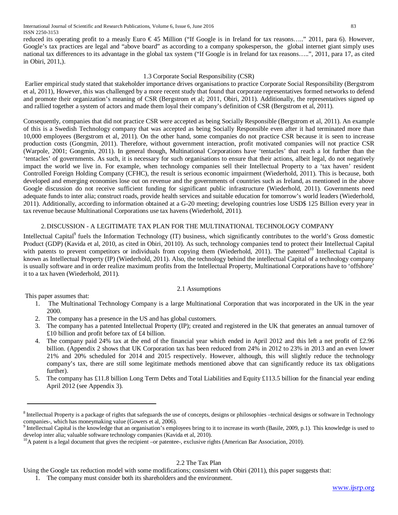reduced its operating profit to a measly Euro  $\epsilon$ 45 Million ("If Google is in Ireland for tax reasons....." 2011, para 6). However, Google's tax practices are legal and "above board" as according to a company spokesperson, the global internet giant simply uses national tax differences to its advantage in the global tax system ("If Google is in Ireland for tax reasons…..", 2011, para 17, as cited in Obiri, 2011,).

# 1.3 Corporate Social Responsibility (CSR)

Earlier empirical study stated that stakeholder importance drives organisations to practice Corporate Social Responsibility (Bergstrom et al, 2011), However, this was challenged by a more recent study that found that corporate representatives formed networks to defend and promote their organization's meaning of CSR (Bergstrom et al; 2011, Obiri, 2011). Additionally, the representatives signed up and rallied together a system of actors and made them loyal their company's definition of CSR (Bergstrom et al, 2011).

Consequently, companies that did not practice CSR were accepted as being Socially Responsible (Bergstrom et al, 2011). An example of this is a Swedish Technology company that was accepted as being Socially Responsible even after it had terminated more than 10,000 employees (Bergstrom et al, 2011). On the other hand, some companies do not practice CSR because it is seen to increase production costs (Gongmin, 2011). Therefore, without government interaction, profit motivated companies will not practice CSR (Warpole, 2001; Gongmin, 2011). In general though, Multinational Corporations have 'tentacles' that reach a lot further than the 'tentacles' of governments. As such, it is necessary for such organisations to ensure that their actions, albeit legal, do not negatively impact the world we live in. For example, when technology companies sell their Intellectual Property to a 'tax haven' resident Controlled Foreign Holding Company (CFHC), the result is serious economic impairment (Wiederhold, 2011). This is because, both developed and emerging economies lose out on revenue and the governments of countries such as Ireland, as mentioned in the above Google discussion do not receive sufficient funding for significant public infrastructure (Wiederhold, 2011). Governments need adequate funds to inter alia; construct roads, provide health services and suitable education for tomorrow's world leaders (Wiederhold, 2011). Additionally, according to information obtained at a G-20 meeting; developing countries lose USD\$ 125 Billion every year in tax revenue because Multinational Corporations use tax havens (Wiederhold, 2011).

# 2.DISCUSSION - A LEGITIMATE TAX PLAN FOR THE MULTINATIONAL TECHNOLOGY COMPANY

Intellectual Capital<sup>9</sup> fuels the Information Technology (IT) business, which significantly contributes to the world's Gross domestic Product (GDP) (Kavida et al, 2010, as cited in Obiri, 20110). As such, technology companies tend to protect their Intellectual Capital with patents to prevent competitors or individuals from copying them (Wiederhold, 2011). The patented<sup>10</sup> Intellectual Capital is known as Intellectual Property (IP) (Wiederhold, 2011). Also, the technology behind the intellectual Capital of a technology company is usually software and in order realize maximum profits from the Intellectual Property, Multinational Corporations have to 'offshore' it to a tax haven (Wiederhold, 2011).

# 2.1 Assumptions

This paper assumes that:

- 1. The Multinational Technology Company is a large Multinational Corporation that was incorporated in the UK in the year 2000.
- 2. The company has a presence in the US and has global customers.
- 3. The company has a patented Intellectual Property (IP); created and registered in the UK that generates an annual turnover of £10 billion and profit before tax of £4 billion.
- 4. The company paid 24% tax at the end of the financial year which ended in April 2012 and this left a net profit of £2.96 billion. (Appendix 2 shows that UK Corporation tax has been reduced from 24% in 2012 to 23% in 2013 and an even lower 21% and 20% scheduled for 2014 and 2015 respectively. However, although, this will slightly reduce the technology company's tax, there are still some legitimate methods mentioned above that can significantly reduce its tax obligations further).
- 5. The company has £11.8 billion Long Term Debts and Total Liabilities and Equity £113.5 billion for the financial year ending April 2012 (see Appendix 3).

# 2.2 The Tax Plan

 $8$  Intellectual Property is a package of rights that safeguards the use of concepts, designs or philosophies  $-$ technical designs or software in Technology companies-, which has moneymaking value (Gowers et al, 2006).

<sup>&</sup>lt;sup>9</sup> Intellectual Capital is the knowledge that an organisation's employees bring to it to increase its worth (Basile, 2009, p.1). This knowledge is used to develop inter alia; valuable software technology companies (Kavida et al, 2010).<br><sup>10</sup>A patent is a legal document that gives the recipient –or patentee-, exclusive rights (American Bar Association, 2010).

Using the Google tax reduction model with some modifications; consistent with Obiri (2011), this paper suggests that:

<sup>1.</sup> The company must consider both its shareholders and the environment.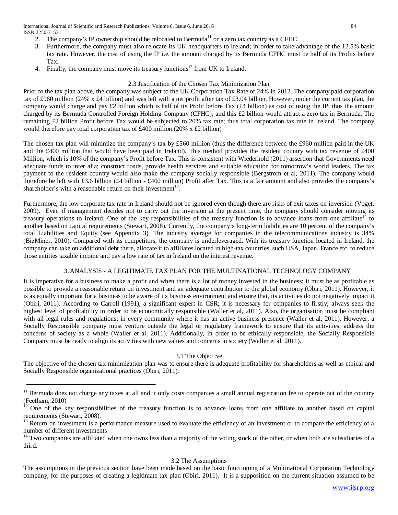International Journal of Scientific and Research Publications, Volume 6, Issue 6, June 2016 84 ISSN 2250-3153

- 2. The company's IP ownership should be relocated to Bermuda<sup>11</sup> or a zero tax country as a CFHC.
- 3. Furthermore, the company must also relocate its UK headquarters to Ireland; in order to take advantage of the 12.5% basic tax rate. However, the cost of using the IP i.e. the amount charged by its Bermuda CFHC must be half of its Profits before Tax.
- 4. Finally, the company must move its treasury functions<sup>12</sup> from UK to Ireland.

## 2.3 Justification of the Chosen Tax Minimization Plan

Prior to the tax plan above, the company was subject to the UK Corporation Tax Rate of 24% in 2012. The company paid corporation tax of £960 million (24% x £4 billion) and was left with a net profit after tax of £3.04 billion. However, under the current tax plan, the company would charge and pay £2 billion which is half of its Profit before Tax (£4 billion) as cost of using the IP; thus the amount charged by its Bermuda Controlled Foreign Holding Company (CFHC), and this £2 billion would attract a zero tax in Bermuda. The remaining £2 billion Profit before Tax would be subjected to 20% tax rate; thus total corporation tax rate in Ireland. The company would therefore pay total corporation tax of £400 million (20% x £2 billion)

The chosen tax plan will minimize the company's tax by £560 million (thus the difference between the £960 million paid in the UK and the £400 million that would have been paid in Ireland). This method provides the resident country with tax revenue of £400 Million, which is 10% of the company's Profit before Tax. This is consistent with Wiederhold (2011) assertion that Governments need adequate funds to inter alia; construct roads, provide health services and suitable education for tomorrow's world leaders. The tax payment to the resident country would also make the company socially responsible (Bergstrom et al, 2011). The company would therefore be left with £3.6 billion (£4 billion - £400 million) Profit after Tax. This is a fair amount and also provides the company's shareholder's with a reasonable return on their investment<sup>13</sup>.

Furthermore, the low corporate tax rate in Ireland should not be ignored even though there are risks of exit taxes on inversion (Voget, 2009). Even if management decides not to carry out the inversion at the present time, the company should consider moving its treasury operations to Ireland. One of the key responsibilities of the treasury function is to advance loans from one affiliate<sup>14</sup> to another based on capital requirements (Stewart, 2008). Currently, the company's long-term liabilities are 10 percent of the company's total Liabilities and Equity (see Appendix 3). The industry average for companies in the telecommunications industry is 34% (BizMiner, 2010). Compared with its competitors, the company is underleveraged. With its treasury function located in Ireland, the company can take on additional debt there, allocate it to affiliates located in high-tax countries such USA, Japan, France etc. to reduce those entities taxable income and pay a low rate of tax in Ireland on the interest revenue.

# 3.ANALYSIS - A LEGITIMATE TAX PLAN FOR THE MULTINATIONAL TECHNOLOGY COMPANY

It is imperative for a business to make a profit and when there is a lot of money invested in the business; it must be as profitable as possible to provide a reasonable return on investment and an adequate contribution to the global economy (Obiri, 2011). However, it is as equally important for a business to be aware of its business environment and ensure that, its activities do not negatively impact it (Obiri, 2011). According to Carroll (1991), a significant expert in CSR; it is necessary for companies to firstly; always seek the highest level of profitability in order to be economically responsible (Waller et al, 2011). Also, the organisation must be compliant with all legal rules and regulations; in every community where it has an active business presence (Waller et al, 2011). However, a Socially Responsible company must venture outside the legal or regulatory framework to ensure that its activities, address the concerns of society as a whole (Waller et al, 2011). Additionally, in order to be ethically responsible, the Socially Responsible Company must be ready to align its activities with new values and concerns in society (Waller et al, 2011).

## 3.1 The Objective

The objective of the chosen tax minimization plan was to ensure there is adequate profitability for shareholders as well as ethical and Socially Responsible organizational practices (Obiri, 2011).

## 3.2 The Assumptions

The assumptions in the previous section have been made based on the basic functioning of a Multinational Corporation Technology company, for the purposes of creating a legitimate tax plan (Obiri, 2011). It is a supposition on the current situation assumed to be

<sup>&</sup>lt;sup>11</sup> Bermuda does not charge any taxes at all and it only costs companies a small annual registration fee to operate out of the country (Feetham, 2010)

 $12$  One of the key responsibilities of the treasury function is to advance loans from one affiliate to another based on capital requirements (Stewart, 2008).

 $13$  Return on investment is a performance measure used to evaluate the efficiency of an investment or to compare the efficiency of a number of different investments

<sup>&</sup>lt;sup>14</sup> Two companies are affiliated when one owns less than a majority of the voting stock of the other, or when both are subsidiaries of a third.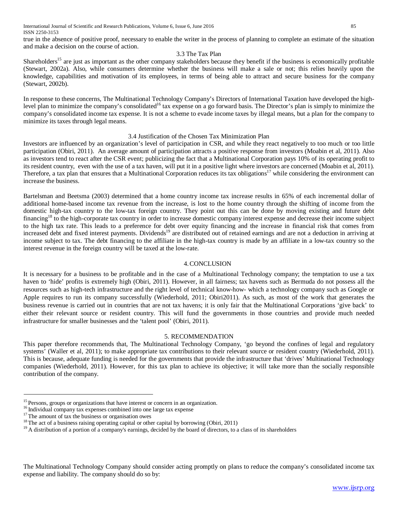true in the absence of positive proof, necessary to enable the writer in the process of planning to complete an estimate of the situation and make a decision on the course of action.

# 3.3 The Tax Plan

Shareholders<sup>15</sup> are just as important as the other company stakeholders because they benefit if the business is economically profitable (Stewart, 2002a). Also, while consumers determine whether the business will make a sale or not; this relies heavily upon the knowledge, capabilities and motivation of its employees, in terms of being able to attract and secure business for the company (Stewart, 2002b).

In response to these concerns, The Multinational Technology Company's Directors of International Taxation have developed the highlevel plan to minimize the company's consolidated<sup>16</sup> tax expense on a go forward basis. The Director's plan is simply to minimize the company's consolidated income tax expense. It is not a scheme to evade income taxes by illegal means, but a plan for the company to minimize its taxes through legal means.

## 3.4 Justification of the Chosen Tax Minimization Plan

Investors are influenced by an organization's level of participation in CSR, and while they react negatively to too much or too little participation (Obiri, 2011). An average amount of participation attracts a positive response from investors (Moabin et al, 2011). Also as investors tend to react after the CSR event; publicizing the fact that a Multinational Corporation pays 10% of its operating profit to its resident country, even with the use of a tax haven, will put it in a positive light where investors are concerned (Moabin et al, 2011). Therefore, a tax plan that ensures that a Multinational Corporation reduces its tax obligations<sup>17</sup> while considering the environment can increase the business.

Bartelsman and Beetsma (2003) determined that a home country income tax increase results in 65% of each incremental dollar of additional home-based income tax revenue from the increase, is lost to the home country through the shifting of income from the domestic high-tax country to the low-tax foreign country. They point out this can be done by moving existing and future debt financing<sup>18</sup> to the high-corporate tax country in order to increase domestic company interest expense and decrease their income subject to the high tax rate. This leads to a preference for debt over equity financing and the increase in financial risk that comes from increased debt and fixed interest payments. Dividends<sup>19</sup> are distributed out of retained earnings and are not a deduction in arriving at income subject to tax. The debt financing to the affiliate in the high-tax country is made by an affiliate in a low-tax country so the interest revenue in the foreign country will be taxed at the low-rate.

# 4.CONCLUSION

It is necessary for a business to be profitable and in the case of a Multinational Technology company; the temptation to use a tax haven to 'hide' profits is extremely high (Obiri, 2011). However, in all fairness; tax havens such as Bermuda do not possess all the resources such as high-tech infrastructure and the right level of technical know-how- which a technology company such as Google or Apple requires to run its company successfully (Wiederhold, 2011; Obiri2011). As such, as most of the work that generates the business revenue is carried out in countries that are not tax havens; it is only fair that the Multinational Corporations 'give back' to either their relevant source or resident country. This will fund the governments in those countries and provide much needed infrastructure for smaller businesses and the 'talent pool' (Obiri, 2011).

## 5. RECOMMENDATION

This paper therefore recommends that, The Multinational Technology Company, 'go beyond the confines of legal and regulatory systems' (Waller et al, 2011); to make appropriate tax contributions to their relevant source or resident country (Wiederhold, 2011). This is because, adequate funding is needed for the governments that provide the infrastructure that 'drives' Multinational Technology companies (Wiederhold, 2011). However, for this tax plan to achieve its objective; it will take more than the socially responsible contribution of the company.

The Multinational Technology Company should consider acting promptly on plans to reduce the company's consolidated income tax expense and liability. The company should do so by:

<sup>&</sup>lt;sup>15</sup> Persons, [groups](http://www.businessdictionary.com/definition/group.html) or organizations that have [interest](http://www.businessdictionary.com/definition/interest.html) or [concern](http://www.businessdictionary.com/definition/concern.html) in an organization.<br><sup>16</sup> Individual company tax expenses combined into one large tax expense<br><sup>17</sup> The amount of tax the business or organisation owes<br><sup>18</sup>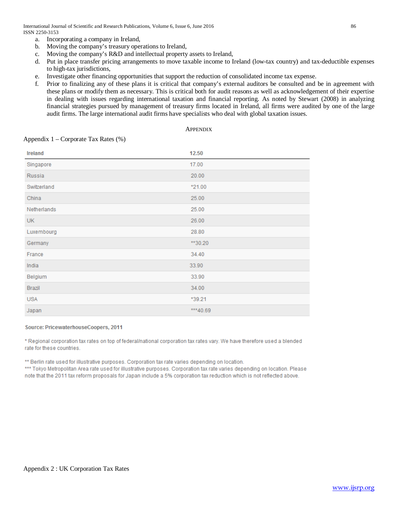International Journal of Scientific and Research Publications, Volume 6, Issue 6, June 2016 86 ISSN 2250-3153

- a. Incorporating a company in Ireland,
- b. Moving the company's treasury operations to Ireland,
- c. Moving the company's R&D and intellectual property assets to Ireland,
- d. Put in place transfer pricing arrangements to move taxable income to Ireland (low-tax country) and tax-deductible expenses to high-tax jurisdictions,
- e. Investigate other financing opportunities that support the reduction of consolidated income tax expense.
- f. Prior to finalizing any of these plans it is critical that company's external auditors be consulted and be in agreement with these plans or modify them as necessary. This is critical both for audit reasons as well as acknowledgement of their expertise in dealing with issues regarding international taxation and financial reporting. As noted by Stewart (2008) in analyzing financial strategies pursued by management of treasury firms located in Ireland, all firms were audited by one of the large audit firms. The large international audit firms have specialists who deal with global taxation issues.

#### **APPENDIX**

## Appendix 1 – Corporate Tax Rates (%)

| Ireland     | 12.50     |
|-------------|-----------|
| Singapore   | 17.00     |
| Russia      | 20.00     |
| Switzerland | *21.00    |
| China       | 25.00     |
| Netherlands | 25.00     |
| UK.         | 26.00     |
| Luxembourg  | 28.80     |
| Germany     | **30.20   |
| France      | 34.40     |
| India       | 33.90     |
| Belgium     | 33.90     |
| Brazil      | 34.00     |
| <b>USA</b>  | *39.21    |
| Japan       | *** 40.69 |

#### Source: PricewaterhouseCoopers, 2011

\* Regional corporation tax rates on top of federal/national corporation tax rates vary. We have therefore used a blended rate for these countries.

\*\* Berlin rate used for illustrative purposes. Corporation tax rate varies depending on location.

\*\*\* Tokyo Metropolitan Area rate used for illustrative purposes. Corporation tax rate varies depending on location. Please note that the 2011 tax reform proposals for Japan include a 5% corporation tax reduction which is not reflected above.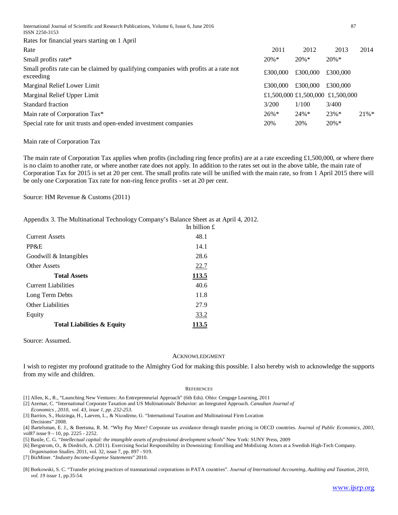International Journal of Scientific and Research Publications, Volume 6, Issue 6, June 2016 87 ISSN 2250-3153

Rates for financial years starting on 1 April

| Rate                                                                                              | 2011     | 2012     | 2013                             | 2014    |
|---------------------------------------------------------------------------------------------------|----------|----------|----------------------------------|---------|
| Small profits rate*                                                                               | $20\% *$ | $20\%*$  | $20\% *$                         |         |
| Small profits rate can be claimed by qualifying companies with profits at a rate not<br>exceeding | £300,000 | £300,000 | £300,000                         |         |
| Marginal Relief Lower Limit                                                                       | £300,000 | £300,000 | £300,000                         |         |
| Marginal Relief Upper Limit                                                                       |          |          | £1,500,000 £1,500,000 £1,500,000 |         |
| Standard fraction                                                                                 | 3/200    | 1/100    | 3/400                            |         |
| Main rate of Corporation Tax*                                                                     | $26\%*$  | $24\%*$  | $23\%*$                          | $21\%*$ |
| Special rate for unit trusts and open-ended investment companies                                  | 20%      | 20%      | $20\% *$                         |         |

Main rate of Corporation Tax

The main rate of Corporation Tax applies when profits (including ring fence profits) are at a rate exceeding  $\pounds1,500,000$ , or where there is no claim to another rate, or where another rate does not [apply.](http://www.hmrc.gov.uk/rates/corp.htm) In addition to the rates set out in the above table, the main rate of Corporation Tax for 2015 is set at 20 per cent. The small profits rate will be unified with the main rate, so from 1 April 2015 there will be only one Corporation Tax rate for non-ring fence profits - set at 20 per cent.

Source: HM Revenue & Customs (2011)

Appendix 3. The Multinational Technology Company's Balance Sheet as at April 4, 2012.

| . - p p ===                           | In billion $\mathbf f$ |
|---------------------------------------|------------------------|
| <b>Current Assets</b>                 | 48.1                   |
| PP&E                                  | 14.1                   |
| Goodwill & Intangibles                | 28.6                   |
| Other Assets                          | <u>22.7</u>            |
| <b>Total Assets</b>                   | 113.5                  |
| <b>Current Liabilities</b>            | 40.6                   |
| Long Term Debts                       | 11.8                   |
| <b>Other Liabilities</b>              | 27.9                   |
| Equity                                | 33.2                   |
| <b>Total Liabilities &amp; Equity</b> | 113.5                  |

Source: Assumed.

#### ACKNOWLEDGMENT

I wish to register my profound gratitude to the Almighty God for making this possible. I also hereby wish to acknowledge the supports from my wife and children.

#### **REFERENCES**

- [1] Allen, K., R., "Launching New Ventures: An Entrepreneurial Approach" (6th Eds). Ohio: Cengage Learning, 2011
- [2] Azemar, C. "International Corporate Taxation and US Multinationals' Behavior: an Integrated Approach. *Canadian Journal of*

 *Economics , 2010, vol. 43, issue 1, pp. 232-253.*

- [3] Barrios, S., Huizinga, H., Laeven, L., & Nicodėme, G. "International Taxation and Multinational Firm Location Decisions" 2008.
- [4] Bartelsman, E. J., & Beetsma, R. M. "Why Pay More? Corporate tax avoidance through transfer pricing in OECD countries. *Journal of Public Economics, 2003, vol87* issue 9 – 10, pp. 2225 - 2252.
- [5] Basile, C. G. "*Intellectual capital: the intangible assets of professional development schools*" New York: SUNY Press, 2009
- [6] Bergstrom, O., & Diedrich, A. (2011). Exercising Social Responsibility in Downsizing: Enrolling and Mobilizing Actors at a Swedish High-Tech Company.

*Organisation Studies*. 2011, vol. 32, issue 7, pp. 897 - 919.

[7] BizMiner. "*Industry Income-Expense Statements*" 2010.

[8] Borkowski, S. C. "Transfer pricing practices of transnational corporations in PATA countries". *Journal of International Accounting, Auditing and Taxation, 2010, vol. 19 issue* 1, pp.35-54.